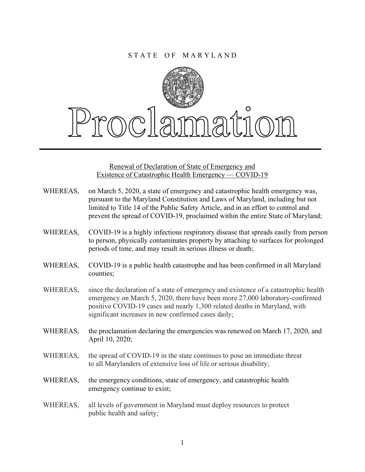

Renewal of Declaration of State of Emergency and Existence of Catastrophic Health Emergency — COVID-19

- WHEREAS, on March 5, 2020, a state of emergency and catastrophic health emergency was, pursuant to the Maryland Constitution and Laws of Maryland, including but not limited to Title 14 of the Public Safety Article, and in an effort to control and prevent the spread of COVID-19, proclaimed within the entire State of Maryland;
- WHEREAS, COVID-19 is a highly infectious respiratory disease that spreads easily from person to person, physically contaminates property by attaching to surfaces for prolonged periods of time, and may result in serious illness or death;
- WHEREAS, COVID-19 is a public health catastrophe and has been confirmed in all Maryland counties;
- WHEREAS, since the declaration of a state of emergency and existence of a catastrophic health emergency on March 5, 2020, there have been more 27,000 laboratory-confirmed positive COVID-19 cases and nearly 1,300 related deaths in Maryland, with significant increases in new confirmed cases daily;
- WHEREAS, the proclamation declaring the emergencies was renewed on March 17, 2020, and April 10, 2020;
- WHEREAS, the spread of COVID-19 in the state continues to pose an immediate threat to all Marylanders of extensive loss of life or serious disability;
- WHEREAS, the emergency conditions, state of emergency, and catastrophic health emergency continue to exist;
- WHEREAS, all levels of government in Maryland must deploy resources to protect public health and safety;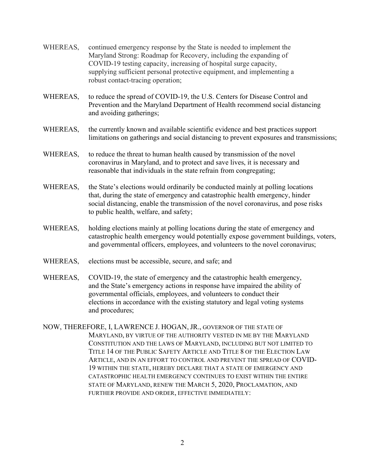- WHEREAS, continued emergency response by the State is needed to implement the Maryland Strong: Roadmap for Recovery, including the expanding of COVID-19 testing capacity, increasing of hospital surge capacity, supplying sufficient personal protective equipment, and implementing a robust contact-tracing operation;
- WHEREAS, to reduce the spread of COVID-19, the U.S. Centers for Disease Control and Prevention and the Maryland Department of Health recommend social distancing and avoiding gatherings;
- WHEREAS, the currently known and available scientific evidence and best practices support limitations on gatherings and social distancing to prevent exposures and transmissions;
- WHEREAS, to reduce the threat to human health caused by transmission of the novel coronavirus in Maryland, and to protect and save lives, it is necessary and reasonable that individuals in the state refrain from congregating;
- WHEREAS, the State's elections would ordinarily be conducted mainly at polling locations that, during the state of emergency and catastrophic health emergency, hinder social distancing, enable the transmission of the novel coronavirus, and pose risks to public health, welfare, and safety;
- WHEREAS, holding elections mainly at polling locations during the state of emergency and catastrophic health emergency would potentially expose government buildings, voters, and governmental officers, employees, and volunteers to the novel coronavirus;
- WHEREAS, elections must be accessible, secure, and safe; and
- WHEREAS, COVID-19, the state of emergency and the catastrophic health emergency, and the State's emergency actions in response have impaired the ability of governmental officials, employees, and volunteers to conduct their elections in accordance with the existing statutory and legal voting systems and procedures;
- NOW, THEREFORE, I, LAWRENCE J. HOGAN, JR., GOVERNOR OF THE STATE OF MARYLAND, BY VIRTUE OF THE AUTHORITY VESTED IN ME BY THE MARYLAND CONSTITUTION AND THE LAWS OF MARYLAND, INCLUDING BUT NOT LIMITED TO TITLE 14 OF THE PUBLIC SAFETY ARTICLE AND TITLE 8 OF THE ELECTION LAW ARTICLE, AND IN AN EFFORT TO CONTROL AND PREVENT THE SPREAD OF COVID-19 WITHIN THE STATE, HEREBY DECLARE THAT A STATE OF EMERGENCY AND CATASTROPHIC HEALTH EMERGENCY CONTINUES TO EXIST WITHIN THE ENTIRE STATE OF MARYLAND, RENEW THE MARCH 5, 2020, PROCLAMATION, AND FURTHER PROVIDE AND ORDER, EFFECTIVE IMMEDIATELY: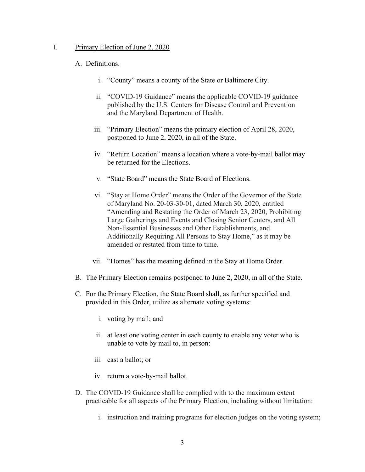## I. Primary Election of June 2, 2020

## A. Definitions.

- i. "County" means a county of the State or Baltimore City.
- ii. "COVID-19 Guidance" means the applicable COVID-19 guidance published by the U.S. Centers for Disease Control and Prevention and the Maryland Department of Health.
- iii. "Primary Election" means the primary election of April 28, 2020, postponed to June 2, 2020, in all of the State.
- iv. "Return Location" means a location where a vote-by-mail ballot may be returned for the Elections.
- v. "State Board" means the State Board of Elections.
- vi. "Stay at Home Order" means the Order of the Governor of the State of Maryland No. 20-03-30-01, dated March 30, 2020, entitled "Amending and Restating the Order of March 23, 2020, Prohibiting Large Gatherings and Events and Closing Senior Centers, and All Non-Essential Businesses and Other Establishments, and Additionally Requiring All Persons to Stay Home," as it may be amended or restated from time to time.
- vii. "Homes" has the meaning defined in the Stay at Home Order.
- B. The Primary Election remains postponed to June 2, 2020, in all of the State.
- C. For the Primary Election, the State Board shall, as further specified and provided in this Order, utilize as alternate voting systems:
	- i. voting by mail; and
	- ii. at least one voting center in each county to enable any voter who is unable to vote by mail to, in person:
	- iii. cast a ballot; or
	- iv. return a vote-by-mail ballot.
- D. The COVID-19 Guidance shall be complied with to the maximum extent practicable for all aspects of the Primary Election, including without limitation:
	- i. instruction and training programs for election judges on the voting system;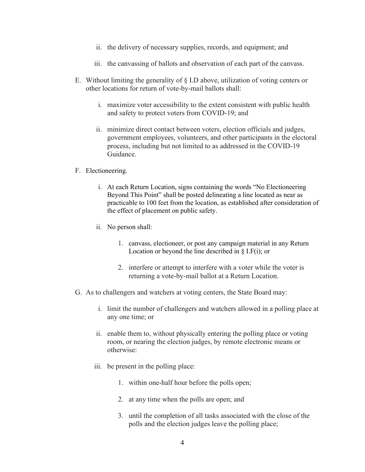- ii. the delivery of necessary supplies, records, and equipment; and
- iii. the canvassing of ballots and observation of each part of the canvass.
- E. Without limiting the generality of  $\S$  I.D above, utilization of voting centers or other locations for return of vote-by-mail ballots shall:
	- i. maximize voter accessibility to the extent consistent with public health and safety to protect voters from COVID-19; and
	- ii. minimize direct contact between voters, election officials and judges, government employees, volunteers, and other participants in the electoral process, including but not limited to as addressed in the COVID-19 Guidance.

## F. Electioneering.

- i. At each Return Location, signs containing the words "No Electioneering Beyond This Point" shall be posted delineating a line located as near as practicable to 100 feet from the location, as established after consideration of the effect of placement on public safety.
- ii. No person shall:
	- 1. canvass, electioneer, or post any campaign material in any Return Location or beyond the line described in  $\S$  I.F(i); or
	- 2. interfere or attempt to interfere with a voter while the voter is returning a vote-by-mail ballot at a Return Location.
- G. As to challengers and watchers at voting centers, the State Board may:
	- i. limit the number of challengers and watchers allowed in a polling place at any one time; or
	- ii. enable them to, without physically entering the polling place or voting room, or nearing the election judges, by remote electronic means or otherwise:
	- iii. be present in the polling place:
		- 1. within one-half hour before the polls open;
		- 2. at any time when the polls are open; and
		- 3. until the completion of all tasks associated with the close of the polls and the election judges leave the polling place;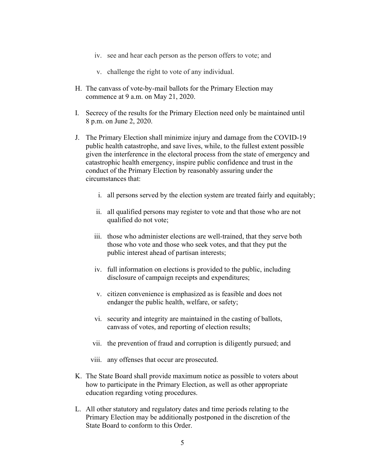- iv. see and hear each person as the person offers to vote; and
- v. challenge the right to vote of any individual.
- H. The canvass of vote-by-mail ballots for the Primary Election may commence at 9 a.m. on May 21, 2020.
- I. Secrecy of the results for the Primary Election need only be maintained until 8 p.m. on June 2, 2020.
- J. The Primary Election shall minimize injury and damage from the COVID-19 public health catastrophe, and save lives, while, to the fullest extent possible given the interference in the electoral process from the state of emergency and catastrophic health emergency, inspire public confidence and trust in the conduct of the Primary Election by reasonably assuring under the circumstances that:
	- i. all persons served by the election system are treated fairly and equitably;
	- ii. all qualified persons may register to vote and that those who are not qualified do not vote;
	- iii. those who administer elections are well-trained, that they serve both those who vote and those who seek votes, and that they put the public interest ahead of partisan interests;
	- iv. full information on elections is provided to the public, including disclosure of campaign receipts and expenditures;
	- v. citizen convenience is emphasized as is feasible and does not endanger the public health, welfare, or safety;
	- vi. security and integrity are maintained in the casting of ballots, canvass of votes, and reporting of election results;
	- vii. the prevention of fraud and corruption is diligently pursued; and
	- viii. any offenses that occur are prosecuted.
- K. The State Board shall provide maximum notice as possible to voters about how to participate in the Primary Election, as well as other appropriate education regarding voting procedures.
- L. All other statutory and regulatory dates and time periods relating to the Primary Election may be additionally postponed in the discretion of the State Board to conform to this Order.